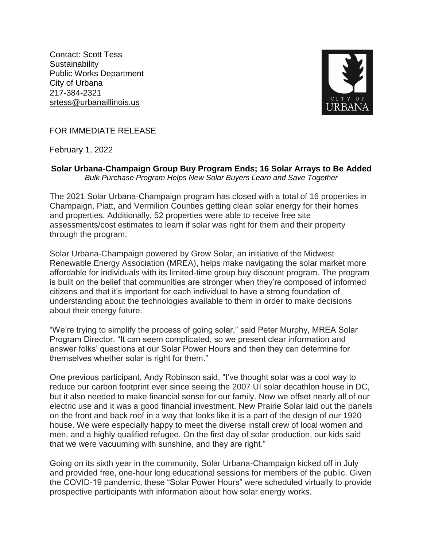Contact: Scott Tess **Sustainability** Public Works Department City of Urbana 217-384-2321 srtess@urbanaillinois.us



FOR IMMEDIATE RELEASE

February 1, 2022

## **Solar Urbana-Champaign Group Buy Program Ends; 16 Solar Arrays to Be Added** *Bulk Purchase Program Helps New Solar Buyers Learn and Save Together*

The 2021 Solar Urbana-Champaign program has closed with a total of 16 properties in Champaign, Piatt, and Vermilion Counties getting clean solar energy for their homes and properties. Additionally, 52 properties were able to receive free site assessments/cost estimates to learn if solar was right for them and their property through the program.

Solar Urbana-Champaign powered by Grow Solar, an initiative of the Midwest Renewable Energy Association (MREA), helps make navigating the solar market more affordable for individuals with its limited-time group buy discount program. The program is built on the belief that communities are stronger when they're composed of informed citizens and that it's important for each individual to have a strong foundation of understanding about the technologies available to them in order to make decisions about their energy future.

"We're trying to simplify the process of going solar," said Peter Murphy, MREA Solar Program Director. "It can seem complicated, so we present clear information and answer folks' questions at our Solar Power Hours and then they can determine for themselves whether solar is right for them."

One previous participant, Andy Robinson said, "I've thought solar was a cool way to reduce our carbon footprint ever since seeing the 2007 UI solar decathlon house in DC, but it also needed to make financial sense for our family. Now we offset nearly all of our electric use and it was a good financial investment. New Prairie Solar laid out the panels on the front and back roof in a way that looks like it is a part of the design of our 1920 house. We were especially happy to meet the diverse install crew of local women and men, and a highly qualified refugee. On the first day of solar production, our kids said that we were vacuuming with sunshine, and they are right."

Going on its sixth year in the community, Solar Urbana-Champaign kicked off in July and provided free, one-hour long educational sessions for members of the public. Given the COVID-19 pandemic, these "Solar Power Hours" were scheduled virtually to provide prospective participants with information about how solar energy works.